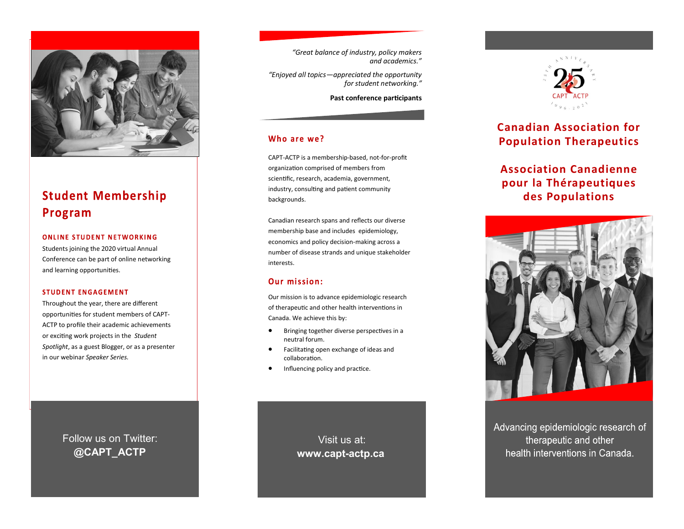

# **Student Membership** Program

#### **ONLINE STUDENT NETWORKING**

Students joining the 2020 virtual Annual Conference can be part of online networking and learning opportunities.

#### **STUDENT ENGAGEMENT**

Throughout the year, there are different opportunities for student members of CAPT-ACTP to profile their academic achievements or exciting work projects in the *Student Spotlight*, as a guest Blogger, or as a presenter in our webinar *Speaker Series.*

> Follow us on Twitter: **@CAPT\_ACTP**

*"Great balance of industry, policy makers and academics."*

*"Enjoyed all topics—appreciated the opportunity for student networking."* 

**Past conference participants**

### Who are we?

CAPT-ACTP is a membership-based, not-for-profit organization comprised of members from scientific, research, academia, government, industry, consulting and patient community backgrounds.

Canadian research spans and reflects our diverse membership base and includes epidemiology, economics and policy decision-making across a number of disease strands and unique stakeholder interests.

### **Our mission:**

Our mission is to advance epidemiologic research of therapeutic and other health interventions in Canada. We achieve this by:

- Bringing together diverse perspectives in a neutral forum.
- Facilitating open exchange of ideas and collaboration.
- Influencing policy and practice.

Visit us at: **www.capt-actp.ca**



### **Canadian Association for Population Therapeutics**

## **Association Canadienne pour la Thérapeutiques des Populations**



Advancing epidemiologic research of therapeutic and other health interventions in Canada.